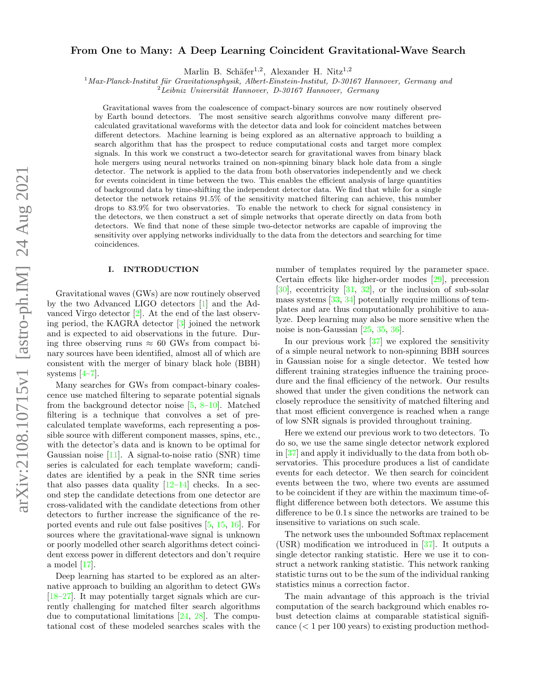# arXiv:2108.10715v1 [astro-ph.IM] 24 Aug 2021 arXiv:2108.10715v1 [astro-ph.IM] 24 Aug 2021

# From One to Many: A Deep Learning Coincident Gravitational-Wave Search

Marlin B. Schäfer<sup>1,2</sup>, Alexander H. Nitz<sup>1,2</sup>

 $1$ Max-Planck-Institut für Gravitationsphysik, Albert-Einstein-Institut, D-30167 Hannover, Germany and

 $2^2$ Leibniz Universität Hannover, D-30167 Hannover, Germany

Gravitational waves from the coalescence of compact-binary sources are now routinely observed by Earth bound detectors. The most sensitive search algorithms convolve many different precalculated gravitational waveforms with the detector data and look for coincident matches between different detectors. Machine learning is being explored as an alternative approach to building a search algorithm that has the prospect to reduce computational costs and target more complex signals. In this work we construct a two-detector search for gravitational waves from binary black hole mergers using neural networks trained on non-spinning binary black hole data from a single detector. The network is applied to the data from both observatories independently and we check for events coincident in time between the two. This enables the efficient analysis of large quantities of background data by time-shifting the independent detector data. We find that while for a single detector the network retains 91.5% of the sensitivity matched filtering can achieve, this number drops to 83.9% for two observatories. To enable the network to check for signal consistency in the detectors, we then construct a set of simple networks that operate directly on data from both detectors. We find that none of these simple two-detector networks are capable of improving the sensitivity over applying networks individually to the data from the detectors and searching for time coincidences.

### I. INTRODUCTION

Gravitational waves (GWs) are now routinely observed by the two Advanced LIGO detectors [\[1\]](#page-9-0) and the Advanced Virgo detector [\[2\]](#page-9-1). At the end of the last observing period, the KAGRA detector [\[3\]](#page-9-2) joined the network and is expected to aid observations in the future. During three observing runs  $\approx 60$  GWs from compact binary sources have been identified, almost all of which are consistent with the merger of binary black hole (BBH) systems  $[4-7]$  $[4-7]$ .

Many searches for GWs from compact-binary coalescence use matched filtering to separate potential signals from the background detector noise  $[5, 8-10]$  $[5, 8-10]$  $[5, 8-10]$ . Matched filtering is a technique that convolves a set of precalculated template waveforms, each representing a possible source with different component masses, spins, etc., with the detector's data and is known to be optimal for Gaussian noise [\[11\]](#page-9-8). A signal-to-noise ratio (SNR) time series is calculated for each template waveform; candidates are identified by a peak in the SNR time series that also passes data quality  $[12-14]$  $[12-14]$  checks. In a second step the candidate detections from one detector are cross-validated with the candidate detections from other detectors to further increase the significance of the reported events and rule out false positives [\[5,](#page-9-5) [15,](#page-9-11) [16\]](#page-9-12). For sources where the gravitational-wave signal is unknown or poorly modelled other search algorithms detect coincident excess power in different detectors and don't require a model [\[17\]](#page-9-13).

Deep learning has started to be explored as an alternative approach to building an algorithm to detect GWs [\[18–](#page-9-14)[27\]](#page-9-15). It may potentially target signals which are currently challenging for matched filter search algorithms due to computational limitations [\[24,](#page-9-16) [28\]](#page-9-17). The computational cost of these modeled searches scales with the number of templates required by the parameter space. Certain effects like higher-order modes [\[29\]](#page-9-18), precession  $[30]$ , eccentricity  $[31, 32]$  $[31, 32]$  $[31, 32]$ , or the inclusion of sub-solar mass systems [\[33,](#page-9-22) [34\]](#page-9-23) potentially require millions of templates and are thus computationally prohibitive to analyze. Deep learning may also be more sensitive when the noise is non-Gaussian [\[25,](#page-9-24) [35,](#page-9-25) [36\]](#page-9-26).

In our previous work [\[37\]](#page-9-27) we explored the sensitivity of a simple neural network to non-spinning BBH sources in Gaussian noise for a single detector. We tested how different training strategies influence the training procedure and the final efficiency of the network. Our results showed that under the given conditions the network can closely reproduce the sensitivity of matched filtering and that most efficient convergence is reached when a range of low SNR signals is provided throughout training.

Here we extend our previous work to two detectors. To do so, we use the same single detector network explored in [\[37\]](#page-9-27) and apply it individually to the data from both observatories. This procedure produces a list of candidate events for each detector. We then search for coincident events between the two, where two events are assumed to be coincident if they are within the maximum time-offlight difference between both detectors. We assume this difference to be 0.1 s since the networks are trained to be insensitive to variations on such scale.

The network uses the unbounded Softmax replacement (USR) modification we introduced in [\[37\]](#page-9-27). It outputs a single detector ranking statistic. Here we use it to construct a network ranking statistic. This network ranking statistic turns out to be the sum of the individual ranking statistics minus a correction factor.

The main advantage of this approach is the trivial computation of the search background which enables robust detection claims at comparable statistical significance  $(< 1$  per 100 years) to existing production method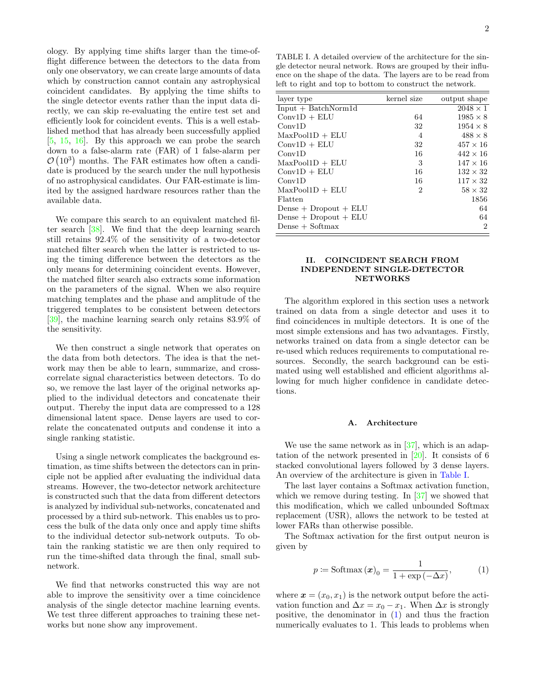ology. By applying time shifts larger than the time-offlight difference between the detectors to the data from only one observatory, we can create large amounts of data which by construction cannot contain any astrophysical coincident candidates. By applying the time shifts to the single detector events rather than the input data directly, we can skip re-evaluating the entire test set and efficiently look for coincident events. This is a well established method that has already been successfully applied [\[5,](#page-9-5) [15,](#page-9-11) [16\]](#page-9-12). By this approach we can probe the search down to a false-alarm rate (FAR) of 1 false-alarm per  $\mathcal{O}(10^3)$  months. The FAR estimates how often a candidate is produced by the search under the null hypothesis of no astrophysical candidates. Our FAR-estimate is limited by the assigned hardware resources rather than the available data.

We compare this search to an equivalent matched filter search [\[38\]](#page-9-28). We find that the deep learning search still retains 92.4% of the sensitivity of a two-detector matched filter search when the latter is restricted to using the timing difference between the detectors as the only means for determining coincident events. However, the matched filter search also extracts some information on the parameters of the signal. When we also require matching templates and the phase and amplitude of the triggered templates to be consistent between detectors [\[39\]](#page-9-29), the machine learning search only retains 83.9% of the sensitivity.

We then construct a single network that operates on the data from both detectors. The idea is that the network may then be able to learn, summarize, and crosscorrelate signal characteristics between detectors. To do so, we remove the last layer of the original networks applied to the individual detectors and concatenate their output. Thereby the input data are compressed to a 128 dimensional latent space. Dense layers are used to correlate the concatenated outputs and condense it into a single ranking statistic.

Using a single network complicates the background estimation, as time shifts between the detectors can in principle not be applied after evaluating the individual data streams. However, the two-detector network architecture is constructed such that the data from different detectors is analyzed by individual sub-networks, concatenated and processed by a third sub-network. This enables us to process the bulk of the data only once and apply time shifts to the individual detector sub-network outputs. To obtain the ranking statistic we are then only required to run the time-shifted data through the final, small subnetwork.

We find that networks constructed this way are not able to improve the sensitivity over a time coincidence analysis of the single detector machine learning events. We test three different approaches to training these networks but none show any improvement.

<span id="page-1-0"></span>TABLE I. A detailed overview of the architecture for the single detector neural network. Rows are grouped by their influence on the shape of the data. The layers are to be read from left to right and top to bottom to construct the network.

| layer type                | kernel size    | output shape    |
|---------------------------|----------------|-----------------|
| $Input + BatchNormal$     |                | $2048 \times 1$ |
| $Conv1D + ELU$            | 64             | $1985 \times 8$ |
| Conv1D                    | 32             | $1954 \times 8$ |
| $MaxPool1D + ELU$         | 4              | $488 \times 8$  |
| $Conv1D + ELU$            | 32             | $457 \times 16$ |
| Conv1D                    | 16             | $442 \times 16$ |
| $MaxPool1D + ELU$         | 3              | $147 \times 16$ |
| $Conv1D + ELU$            | 16             | $132 \times 32$ |
| Conv1D                    | 16             | $117 \times 32$ |
| $MaxPool1D + ELU$         | $\overline{2}$ | $58 \times 32$  |
| Flatten                   |                | 1856            |
| Dense $+$ Dropout $+$ ELU |                | 64              |
| $Dense + Dropout + ELU$   |                | 64              |
| $Dense + Softmax$         |                | $\overline{2}$  |
|                           |                |                 |

# <span id="page-1-2"></span>II. COINCIDENT SEARCH FROM INDEPENDENT SINGLE-DETECTOR **NETWORKS**

The algorithm explored in this section uses a network trained on data from a single detector and uses it to find coincidences in multiple detectors. It is one of the most simple extensions and has two advantages. Firstly, networks trained on data from a single detector can be re-used which reduces requirements to computational resources. Secondly, the search background can be estimated using well established and efficient algorithms allowing for much higher confidence in candidate detections.

# A. Architecture

We use the same network as in  $[37]$ , which is an adaptation of the network presented in  $[20]$ . It consists of 6 stacked convolutional layers followed by 3 dense layers. An overview of the architecture is given in [Table I.](#page-1-0)

The last layer contains a Softmax activation function, which we remove during testing. In [\[37\]](#page-9-27) we showed that this modification, which we called unbounded Softmax replacement (USR), allows the network to be tested at lower FARs than otherwise possible.

The Softmax activation for the first output neuron is given by

<span id="page-1-1"></span>
$$
p \coloneqq \text{Softmax}(\boldsymbol{x})_0 = \frac{1}{1 + \exp(-\Delta x)},\tag{1}
$$

where  $\mathbf{x} = (x_0, x_1)$  is the network output before the activation function and  $\Delta x = x_0 - x_1$ . When  $\Delta x$  is strongly positive, the denominator in [\(1\)](#page-1-1) and thus the fraction numerically evaluates to 1. This leads to problems when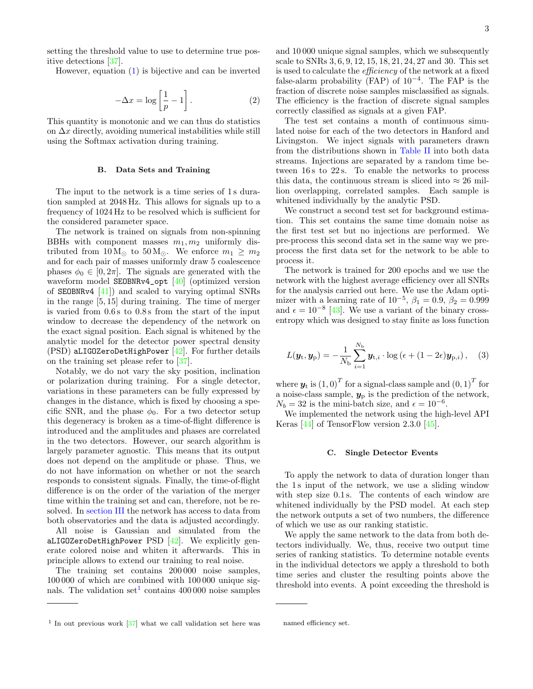setting the threshold value to use to determine true positive detections [\[37\]](#page-9-27).

However, equation [\(1\)](#page-1-1) is bijective and can be inverted

$$
-\Delta x = \log\left[\frac{1}{p} - 1\right].\tag{2}
$$

This quantity is monotonic and we can thus do statistics on  $\Delta x$  directly, avoiding numerical instabilities while still using the Softmax activation during training.

### <span id="page-2-2"></span>B. Data Sets and Training

The input to the network is a time series of 1s duration sampled at 2048 Hz. This allows for signals up to a frequency of 1024 Hz to be resolved which is sufficient for the considered parameter space.

The network is trained on signals from non-spinning BBHs with component masses  $m_1, m_2$  uniformly distributed from  $10 M_{\odot}$  to  $50 M_{\odot}$ . We enforce  $m_1 \geq m_2$ and for each pair of masses uniformly draw 5 coalescence phases  $\phi_0 \in [0, 2\pi]$ . The signals are generated with the waveform model SEOBNRv4\_opt [\[40\]](#page-9-31) (optimized version of SEOBNRv4 [\[41\]](#page-9-32)) and scaled to varying optimal SNRs in the range [5, 15] during training. The time of merger is varied from 0.6 s to 0.8 s from the start of the input window to decrease the dependency of the network on the exact signal position. Each signal is whitened by the analytic model for the detector power spectral density (PSD) aLIGOZeroDetHighPower [\[42\]](#page-9-33). For further details on the training set please refer to [\[37\]](#page-9-27).

Notably, we do not vary the sky position, inclination or polarization during training. For a single detector, variations in these parameters can be fully expressed by changes in the distance, which is fixed by choosing a specific SNR, and the phase  $\phi_0$ . For a two detector setup this degeneracy is broken as a time-of-flight difference is introduced and the amplitudes and phases are correlated in the two detectors. However, our search algorithm is largely parameter agnostic. This means that its output does not depend on the amplitude or phase. Thus, we do not have information on whether or not the search responds to consistent signals. Finally, the time-of-flight difference is on the order of the variation of the merger time within the training set and can, therefore, not be resolved. In [section III](#page-6-0) the network has access to data from both observatories and the data is adjusted accordingly.

All noise is Gaussian and simulated from the aLIGOZeroDetHighPower PSD  $[42]$ . We explicitly generate colored noise and whiten it afterwards. This in principle allows to extend our training to real noise.

The training set contains 200 000 noise samples, 100 000 of which are combined with 100 000 unique sig-nals. The validation set<sup>[1](#page-2-0)</sup> contains  $400000$  noise samples and 10 000 unique signal samples, which we subsequently scale to SNRs 3, 6, 9, 12, 15, 18, 21, 24, 27 and 30. This set is used to calculate the efficiency of the network at a fixed false-alarm probability (FAP) of  $10^{-4}$ . The FAP is the fraction of discrete noise samples misclassified as signals. The efficiency is the fraction of discrete signal samples correctly classified as signals at a given FAP.

The test set contains a month of continuous simulated noise for each of the two detectors in Hanford and Livingston. We inject signals with parameters drawn from the distributions shown in [Table II](#page-4-0) into both data streams. Injections are separated by a random time between 16s to 22s. To enable the networks to process this data, the continuous stream is sliced into  $\approx 26$  million overlapping, correlated samples. Each sample is whitened individually by the analytic PSD.

We construct a second test set for background estimation. This set contains the same time domain noise as the first test set but no injections are performed. We pre-process this second data set in the same way we preprocess the first data set for the network to be able to process it.

The network is trained for 200 epochs and we use the network with the highest average efficiency over all SNRs for the analysis carried out here. We use the Adam optimizer with a learning rate of  $10^{-5}$ ,  $\beta_1 = 0.9$ ,  $\beta_2 = 0.999$ and  $\epsilon = 10^{-8}$  [\[43\]](#page-10-0). We use a variant of the binary crossentropy which was designed to stay finite as loss function

$$
L(\boldsymbol{y}_{t}, \boldsymbol{y}_{p}) = -\frac{1}{N_{b}} \sum_{i=1}^{N_{b}} \boldsymbol{y}_{t,i} \cdot \log \left( \epsilon + (1 - 2\epsilon) \boldsymbol{y}_{p,i} \right), \quad (3)
$$

where  $\boldsymbol{y}_{\text{t}}$  is  $\left(1,0\right)^{T}$  for a signal-class sample and  $\left(0,1\right)^{T}$  for a noise-class sample,  $y_p$  is the prediction of the network,  $N_b = 32$  is the mini-batch size, and  $\epsilon = 10^{-6}$ .

We implemented the network using the high-level API Keras [\[44\]](#page-10-1) of TensorFlow version 2.3.0 [\[45\]](#page-10-2).

### <span id="page-2-1"></span>C. Single Detector Events

To apply the network to data of duration longer than the 1 s input of the network, we use a sliding window with step size  $0.1$  s. The contents of each window are whitened individually by the PSD model. At each step the network outputs a set of two numbers, the difference of which we use as our ranking statistic.

We apply the same network to the data from both detectors individually. We, thus, receive two output time series of ranking statistics. To determine notable events in the individual detectors we apply a threshold to both time series and cluster the resulting points above the threshold into events. A point exceeding the threshold is

<span id="page-2-0"></span><sup>1</sup> In out previous work [\[37\]](#page-9-27) what we call validation set here was

named efficiency set.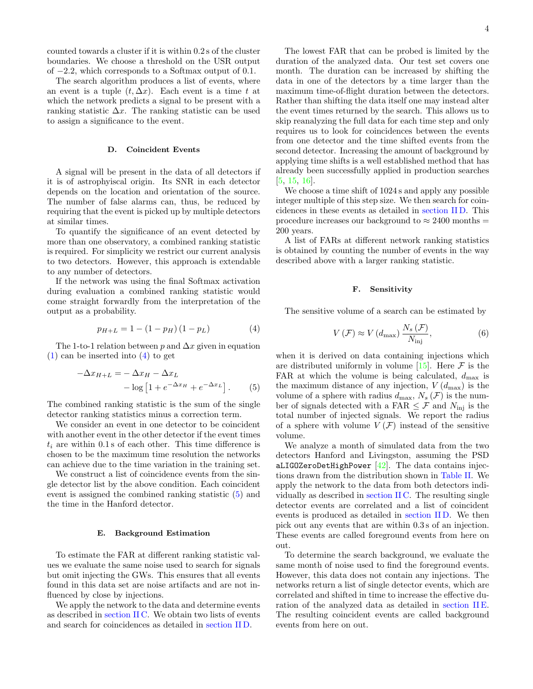counted towards a cluster if it is within 0.2 s of the cluster boundaries. We choose a threshold on the USR output of −2.2, which corresponds to a Softmax output of 0.1.

The search algorithm produces a list of events, where an event is a tuple  $(t, \Delta x)$ . Each event is a time t at which the network predicts a signal to be present with a ranking statistic  $\Delta x$ . The ranking statistic can be used to assign a significance to the event.

# <span id="page-3-2"></span>D. Coincident Events

A signal will be present in the data of all detectors if it is of astrophyiscal origin. Its SNR in each detector depends on the location and orientation of the source. The number of false alarms can, thus, be reduced by requiring that the event is picked up by multiple detectors at similar times.

To quantify the significance of an event detected by more than one observatory, a combined ranking statistic is required. For simplicity we restrict our current analysis to two detectors. However, this approach is extendable to any number of detectors.

If the network was using the final Softmax activation during evaluation a combined ranking statistic would come straight forwardly from the interpretation of the output as a probability.

<span id="page-3-0"></span>
$$
p_{H+L} = 1 - (1 - p_H)(1 - p_L)
$$
 (4)

The 1-to-1 relation between p and  $\Delta x$  given in equation  $(1)$  can be inserted into  $(4)$  to get

$$
-\Delta x_{H+L} = -\Delta x_H - \Delta x_L
$$

$$
- \log \left[ 1 + e^{-\Delta x_H} + e^{-\Delta x_L} \right].
$$
 (5)

The combined ranking statistic is the sum of the single detector ranking statistics minus a correction term.

We consider an event in one detector to be coincident with another event in the other detector if the event times  $t_i$  are within 0.1s of each other. This time difference is chosen to be the maximum time resolution the networks can achieve due to the time variation in the training set.

We construct a list of coincidence events from the single detector list by the above condition. Each coincident event is assigned the combined ranking statistic [\(5\)](#page-3-1) and the time in the Hanford detector.

### <span id="page-3-3"></span>E. Background Estimation

To estimate the FAR at different ranking statistic values we evaluate the same noise used to search for signals but omit injecting the GWs. This ensures that all events found in this data set are noise artifacts and are not influenced by close by injections.

We apply the network to the data and determine events as described in [section II C.](#page-2-1) We obtain two lists of events and search for coincidences as detailed in [section II D.](#page-3-2)

The lowest FAR that can be probed is limited by the duration of the analyzed data. Our test set covers one month. The duration can be increased by shifting the data in one of the detectors by a time larger than the maximum time-of-flight duration between the detectors. Rather than shifting the data itself one may instead alter the event times returned by the search. This allows us to skip reanalyzing the full data for each time step and only requires us to look for coincidences between the events from one detector and the time shifted events from the second detector. Increasing the amount of background by applying time shifts is a well established method that has already been successfully applied in production searches [\[5,](#page-9-5) [15,](#page-9-11) [16\]](#page-9-12).

We choose a time shift of 1024 s and apply any possible integer multiple of this step size. We then search for coincidences in these events as detailed in [section II D.](#page-3-2) This procedure increases our background to  $\approx 2400$  months = 200 years.

A list of FARs at different network ranking statistics is obtained by counting the number of events in the way described above with a larger ranking statistic.

### <span id="page-3-4"></span>F. Sensitivity

The sensitive volume of a search can be estimated by

$$
V\left(\mathcal{F}\right) \approx V\left(d_{\text{max}}\right) \frac{N_s\left(\mathcal{F}\right)}{N_{\text{inj}}},\tag{6}
$$

<span id="page-3-1"></span>when it is derived on data containing injections which are distributed uniformly in volume [\[15\]](#page-9-11). Here  $\mathcal F$  is the FAR at which the volume is being calculated,  $d_{\text{max}}$  is the maximum distance of any injection,  $V(d_{\text{max}})$  is the volume of a sphere with radius  $d_{\text{max}}$ ,  $N_s(\mathcal{F})$  is the number of signals detected with a FAR  $\leq \mathcal{F}$  and  $N_{\text{ini}}$  is the total number of injected signals. We report the radius of a sphere with volume  $V(\mathcal{F})$  instead of the sensitive volume.

We analyze a month of simulated data from the two detectors Hanford and Livingston, assuming the PSD aLIGOZeroDetHighPower  $[42]$ . The data contains injections drawn from the distribution shown in [Table II.](#page-4-0) We apply the network to the data from both detectors individually as described in [section II C.](#page-2-1) The resulting single detector events are correlated and a list of coincident events is produced as detailed in [section II D.](#page-3-2) We then pick out any events that are within 0.3 s of an injection. These events are called foreground events from here on out.

To determine the search background, we evaluate the same month of noise used to find the foreground events. However, this data does not contain any injections. The networks return a list of single detector events, which are correlated and shifted in time to increase the effective duration of the analyzed data as detailed in [section II E.](#page-3-3) The resulting coincident events are called background events from here on out.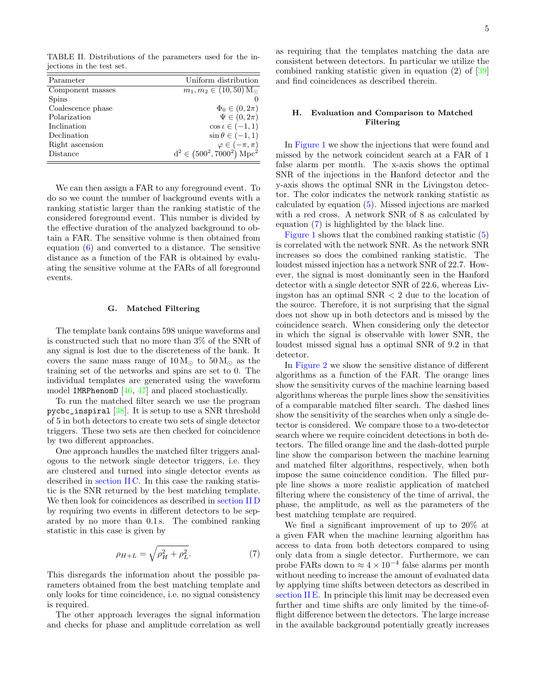<span id="page-4-0"></span>TABLE II. Distributions of the parameters used for the injections in the test set.

| Parameter         | Uniform distribution                                    |
|-------------------|---------------------------------------------------------|
| Component masses  | $m_1, m_2 \in (10, 50)$ $\overline{\mathrm{M}_{\odot}}$ |
| <b>Spins</b>      |                                                         |
| Coalescence phase | $\Phi_0 \in (0, 2\pi)$                                  |
| Polarization      | $\Psi \in (0, 2\pi)$                                    |
| Inclination       | $\cos \iota \in (-1,1)$                                 |
| Declination       | $\sin \theta \in (-1,1)$                                |
| Right ascension   | $\varphi \in (-\pi, \pi)$                               |
| Distance          | $d^2 \in (500^2, 7000^2)$ Mpc <sup>2</sup>              |

We can then assign a FAR to any foreground event. To do so we count the number of background events with a ranking statistic larger than the ranking statistic of the considered foreground event. This number is divided by the effective duration of the analyzed background to obtain a FAR. The sensitive volume is then obtained from equation [\(6\)](#page-3-4) and converted to a distance. The sensitive distance as a function of the FAR is obtained by evaluating the sensitive volume at the FARs of all foreground events.

### G. Matched Filtering

The template bank contains 598 unique waveforms and is constructed such that no more than 3% of the SNR of any signal is lost due to the discreteness of the bank. It covers the same mass range of  $10 M_{\odot}$  to  $50 M_{\odot}$  as the training set of the networks and spins are set to 0. The individual templates are generated using the waveform model **IMRPhenomD**  $[46, 47]$  $[46, 47]$  $[46, 47]$  and placed stochastically.

To run the matched filter search we use the program pycbc\_inspiral [\[38\]](#page-9-28). It is setup to use a SNR threshold of 5 in both detectors to create two sets of single detector triggers. These two sets are then checked for coincidence by two different approaches.

One approach handles the matched filter triggers analogous to the network single detector triggers, i.e. they are clustered and turned into single detector events as described in [section II C.](#page-2-1) In this case the ranking statistic is the SNR returned by the best matching template. We then look for coincidences as described in [section II D](#page-3-2) by requiring two events in different detectors to be separated by no more than 0.1 s. The combined ranking statistic in this case is given by

<span id="page-4-1"></span>
$$
\rho_{H+L} = \sqrt{\rho_H^2 + \rho_L^2}.\tag{7}
$$

This disregards the information about the possible parameters obtained from the best matching template and only looks for time coincidence, i.e. no signal consistency is required.

The other approach leverages the signal information and checks for phase and amplitude correlation as well as requiring that the templates matching the data are consistent between detectors. In particular we utilize the combined ranking statistic given in equation (2) of [\[39\]](#page-9-29) and find coincidences as described therein.

## <span id="page-4-2"></span>H. Evaluation and Comparison to Matched Filtering

In [Figure 1](#page-5-0) we show the injections that were found and missed by the network coincident search at a FAR of 1 false alarm per month. The x-axis shows the optimal SNR of the injections in the Hanford detector and the y-axis shows the optimal SNR in the Livingston detector. The color indicates the network ranking statistic as calculated by equation [\(5\)](#page-3-1). Missed injections are marked with a red cross. A network SNR of 8 as calculated by equation [\(7\)](#page-4-1) is highlighted by the black line.

[Figure 1](#page-5-0) shows that the combined ranking statistic [\(5\)](#page-3-1) is correlated with the network SNR. As the network SNR increases so does the combined ranking statistic. The loudest missed injection has a network SNR of 22.7. However, the signal is most dominantly seen in the Hanford detector with a single detector SNR of 22.6, whereas Livingston has an optimal SNR < 2 due to the location of the source. Therefore, it is not surprising that the signal does not show up in both detectors and is missed by the coincidence search. When considering only the detector in which the signal is observable with lower SNR, the loudest missed signal has a optimal SNR of 9.2 in that detector.

In [Figure 2](#page-6-1) we show the sensitive distance of different algorithms as a function of the FAR. The orange lines show the sensitivity curves of the machine learning based algorithms whereas the purple lines show the sensitivities of a comparable matched filter search. The dashed lines show the sensitivity of the searches when only a single detector is considered. We compare those to a two-detector search where we require coincident detections in both detectors. The filled orange line and the dash-dotted purple line show the comparison between the machine learning and matched filter algorithms, respectively, when both impose the same coincidence condition. The filled purple line shows a more realistic application of matched filtering where the consistency of the time of arrival, the phase, the amplitude, as well as the parameters of the best matching template are required.

We find a significant improvement of up to 20% at a given FAR when the machine learning algorithm has access to data from both detectors compared to using only data from a single detector. Furthermore, we can probe FARs down to  $\approx 4 \times 10^{-4}$  false alarms per month without needing to increase the amount of evaluated data by applying time shifts between detectors as described in [section II E.](#page-3-3) In principle this limit may be decreased even further and time shifts are only limited by the time-offlight difference between the detectors. The large increase in the available background potentially greatly increases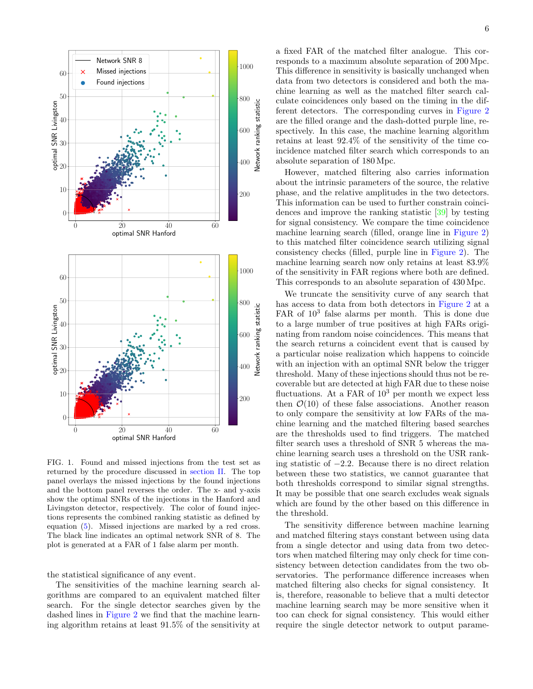

<span id="page-5-0"></span>FIG. 1. Found and missed injections from the test set as returned by the procedure discussed in [section II.](#page-1-2) The top panel overlays the missed injections by the found injections and the bottom panel reverses the order. The x- and y-axis show the optimal SNRs of the injections in the Hanford and Livingston detector, respectively. The color of found injections represents the combined ranking statistic as defined by equation [\(5\)](#page-3-1). Missed injections are marked by a red cross. The black line indicates an optimal network SNR of 8. The plot is generated at a FAR of 1 false alarm per month.

the statistical significance of any event.

The sensitivities of the machine learning search algorithms are compared to an equivalent matched filter search. For the single detector searches given by the dashed lines in [Figure 2](#page-6-1) we find that the machine learning algorithm retains at least 91.5% of the sensitivity at

a fixed FAR of the matched filter analogue. This corresponds to a maximum absolute separation of 200 Mpc. This difference in sensitivity is basically unchanged when data from two detectors is considered and both the machine learning as well as the matched filter search calculate coincidences only based on the timing in the different detectors. The corresponding curves in [Figure 2](#page-6-1) are the filled orange and the dash-dotted purple line, respectively. In this case, the machine learning algorithm retains at least 92.4% of the sensitivity of the time coincidence matched filter search which corresponds to an absolute separation of 180 Mpc.

However, matched filtering also carries information about the intrinsic parameters of the source, the relative phase, and the relative amplitudes in the two detectors. This information can be used to further constrain coincidences and improve the ranking statistic [\[39\]](#page-9-29) by testing for signal consistency. We compare the time coincidence machine learning search (filled, orange line in [Figure 2\)](#page-6-1) to this matched filter coincidence search utilizing signal consistency checks (filled, purple line in [Figure 2\)](#page-6-1). The machine learning search now only retains at least 83.9% of the sensitivity in FAR regions where both are defined. This corresponds to an absolute separation of 430 Mpc.

We truncate the sensitivity curve of any search that has access to data from both detectors in [Figure 2](#page-6-1) at a FAR of  $10^3$  false alarms per month. This is done due to a large number of true positives at high FARs originating from random noise coincidences. This means that the search returns a coincident event that is caused by a particular noise realization which happens to coincide with an injection with an optimal SNR below the trigger threshold. Many of these injections should thus not be recoverable but are detected at high FAR due to these noise fluctuations. At a FAR of  $10^3$  per month we expect less then  $\mathcal{O}(10)$  of these false associations. Another reason to only compare the sensitivity at low FARs of the machine learning and the matched filtering based searches are the thresholds used to find triggers. The matched filter search uses a threshold of SNR 5 whereas the machine learning search uses a threshold on the USR ranking statistic of −2.2. Because there is no direct relation between these two statistics, we cannot guarantee that both thresholds correspond to similar signal strengths. It may be possible that one search excludes weak signals which are found by the other based on this difference in the threshold.

The sensitivity difference between machine learning and matched filtering stays constant between using data from a single detector and using data from two detectors when matched filtering may only check for time consistency between detection candidates from the two observatories. The performance difference increases when matched filtering also checks for signal consistency. It is, therefore, reasonable to believe that a multi detector machine learning search may be more sensitive when it too can check for signal consistency. This would either require the single detector network to output parame-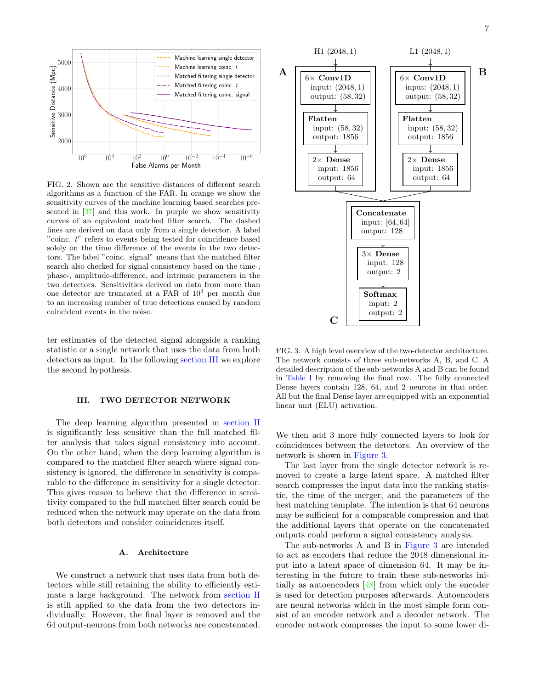

<span id="page-6-1"></span>FIG. 2. Shown are the sensitive distances of different search algorithms as a function of the FAR. In orange we show the sensitivity curves of the machine learning based searches presented in [\[37\]](#page-9-27) and this work. In purple we show sensitivity curves of an equivalent matched filter search. The dashed lines are derived on data only from a single detector. A label "coinc. t" refers to events being tested for coincidence based solely on the time difference of the events in the two detectors. The label "coinc. signal" means that the matched filter search also checked for signal consistency based on the time-, phase-, amplitude-difference, and intrinsic parameters in the two detectors. Sensitivities derived on data from more than one detector are truncated at a FAR of  $10<sup>3</sup>$  per month due to an increasing number of true detections caused by random coincident events in the noise.

ter estimates of the detected signal alongside a ranking statistic or a single network that uses the data from both detectors as input. In the following [section III](#page-6-0) we explore the second hypothesis.

# <span id="page-6-0"></span>III. TWO DETECTOR NETWORK

The deep learning algorithm presented in [section II](#page-1-2) is significantly less sensitive than the full matched filter analysis that takes signal consistency into account. On the other hand, when the deep learning algorithm is compared to the matched filter search where signal consistency is ignored, the difference in sensitivity is comparable to the difference in sensitivity for a single detector. This gives reason to believe that the difference in sensitivity compared to the full matched filter search could be reduced when the network may operate on the data from both detectors and consider coincidences itself.

### A. Architecture

We construct a network that uses data from both detectors while still retaining the ability to efficiently estimate a large background. The network from [section II](#page-1-2) is still applied to the data from the two detectors individually. However, the final layer is removed and the 64 output-neurons from both networks are concatenated.



<span id="page-6-2"></span>FIG. 3. A high level overview of the two-detector architecture. The network consists of three sub-networks A, B, and C. A detailed description of the sub-networks A and B can be found in [Table I](#page-1-0) by removing the final row. The fully connected Dense layers contain 128, 64, and 2 neurons in that order. All but the final Dense layer are equipped with an exponential linear unit (ELU) activation.

We then add 3 more fully connected layers to look for coincidences between the detectors. An overview of the network is shown in [Figure 3.](#page-6-2)

The last layer from the single detector network is removed to create a large latent space. A matched filter search compresses the input data into the ranking statistic, the time of the merger, and the parameters of the best matching template. The intention is that 64 neurons may be sufficient for a comparable compression and that the additional layers that operate on the concatenated outputs could perform a signal consistency analysis.

The sub-networks A and B in [Figure 3](#page-6-2) are intended to act as encoders that reduce the 2048 dimensional input into a latent space of dimension 64. It may be interesting in the future to train these sub-networks initially as autoencoders [\[48\]](#page-10-5) from which only the encoder is used for detection purposes afterwards. Autoencoders are neural networks which in the most simple form consist of an encoder network and a decoder network. The encoder network compresses the input to some lower di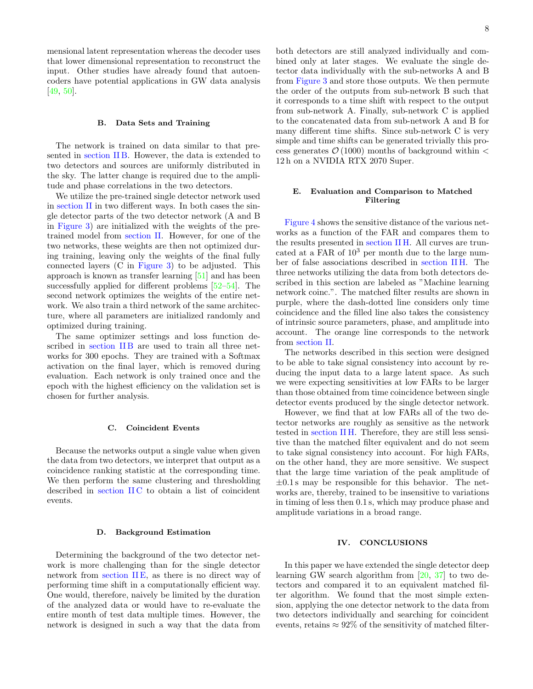mensional latent representation whereas the decoder uses that lower dimensional representation to reconstruct the input. Other studies have already found that autoencoders have potential applications in GW data analysis [\[49,](#page-10-6) [50\]](#page-10-7).

## B. Data Sets and Training

The network is trained on data similar to that presented in [section II B.](#page-2-2) However, the data is extended to two detectors and sources are uniformly distributed in the sky. The latter change is required due to the amplitude and phase correlations in the two detectors.

We utilize the pre-trained single detector network used in [section II](#page-1-2) in two different ways. In both cases the single detector parts of the two detector network (A and B in [Figure 3\)](#page-6-2) are initialized with the weights of the pretrained model from [section II.](#page-1-2) However, for one of the two networks, these weights are then not optimized during training, leaving only the weights of the final fully connected layers (C in [Figure 3\)](#page-6-2) to be adjusted. This approach is known as transfer learning [\[51\]](#page-10-8) and has been successfully applied for different problems [\[52–](#page-10-9)[54\]](#page-10-10). The second network optimizes the weights of the entire network. We also train a third network of the same architecture, where all parameters are initialized randomly and optimized during training.

The same optimizer settings and loss function described in section IIB are used to train all three networks for 300 epochs. They are trained with a Softmax activation on the final layer, which is removed during evaluation. Each network is only trained once and the epoch with the highest efficiency on the validation set is chosen for further analysis.

### C. Coincident Events

Because the networks output a single value when given the data from two detectors, we interpret that output as a coincidence ranking statistic at the corresponding time. We then perform the same clustering and thresholding described in section IIC to obtain a list of coincident events.

### D. Background Estimation

Determining the background of the two detector network is more challenging than for the single detector network from section IIE, as there is no direct way of performing time shift in a computationally efficient way. One would, therefore, naively be limited by the duration of the analyzed data or would have to re-evaluate the entire month of test data multiple times. However, the network is designed in such a way that the data from

both detectors are still analyzed individually and combined only at later stages. We evaluate the single detector data individually with the sub-networks A and B from [Figure 3](#page-6-2) and store those outputs. We then permute the order of the outputs from sub-network B such that it corresponds to a time shift with respect to the output from sub-network A. Finally, sub-network C is applied to the concatenated data from sub-network A and B for many different time shifts. Since sub-network C is very simple and time shifts can be generated trivially this process generates  $\mathcal{O}(1000)$  months of background within  $\lt$ 12 h on a NVIDIA RTX 2070 Super.

# E. Evaluation and Comparison to Matched Filtering

[Figure 4](#page-8-0) shows the sensitive distance of the various networks as a function of the FAR and compares them to the results presented in [section II H.](#page-4-2) All curves are truncated at a FAR of  $10^3$  per month due to the large number of false associations described in [section II H.](#page-4-2) The three networks utilizing the data from both detectors described in this section are labeled as "Machine learning network coinc.". The matched filter results are shown in purple, where the dash-dotted line considers only time coincidence and the filled line also takes the consistency of intrinsic source parameters, phase, and amplitude into account. The orange line corresponds to the network from [section II.](#page-1-2)

The networks described in this section were designed to be able to take signal consistency into account by reducing the input data to a large latent space. As such we were expecting sensitivities at low FARs to be larger than those obtained from time coincidence between single detector events produced by the single detector network.

However, we find that at low FARs all of the two detector networks are roughly as sensitive as the network tested in [section II H.](#page-4-2) Therefore, they are still less sensitive than the matched filter equivalent and do not seem to take signal consistency into account. For high FARs, on the other hand, they are more sensitive. We suspect that the large time variation of the peak amplitude of  $\pm 0.1$  s may be responsible for this behavior. The networks are, thereby, trained to be insensitive to variations in timing of less then 0.1 s, which may produce phase and amplitude variations in a broad range.

### IV. CONCLUSIONS

In this paper we have extended the single detector deep learning GW search algorithm from [\[20,](#page-9-30) [37\]](#page-9-27) to two detectors and compared it to an equivalent matched filter algorithm. We found that the most simple extension, applying the one detector network to the data from two detectors individually and searching for coincident events, retains  $\approx 92\%$  of the sensitivity of matched filter-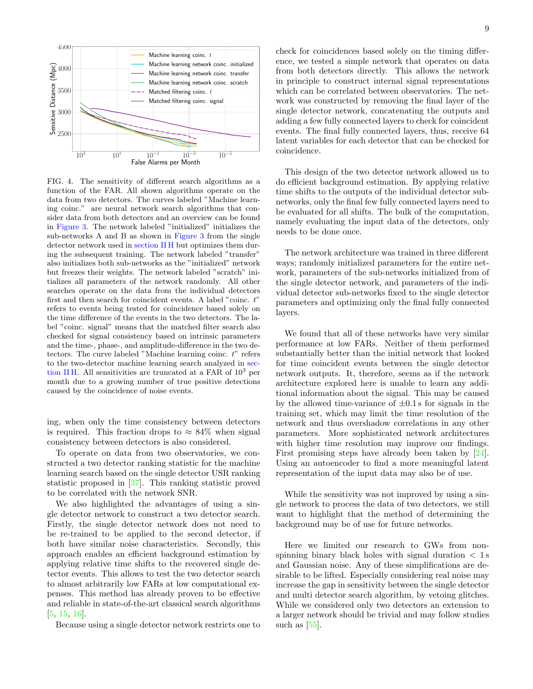

<span id="page-8-0"></span>FIG. 4. The sensitivity of different search algorithms as a function of the FAR. All shown algorithms operate on the data from two detectors. The curves labeled "Machine learning coinc." are neural network search algorithms that consider data from both detectors and an overview can be found in [Figure 3.](#page-6-2) The network labeled "initialized" initializes the sub-networks A and B as shown in [Figure 3](#page-6-2) from the single detector network used in [section II H](#page-4-2) but optimizes them during the subsequent training. The network labeled "transfer" also initializes both sub-networks as the "initialized" network but freezes their weights. The network labeled "scratch" initializes all parameters of the network randomly. All other searches operate on the data from the individual detectors first and then search for coincident events. A label "coinc. t" refers to events being tested for coincidence based solely on the time difference of the events in the two detectors. The label "coinc. signal" means that the matched filter search also checked for signal consistency based on intrinsic parameters and the time-, phase-, and amplitude-difference in the two detectors. The curve labeled "Machine learning coinc.  $t$ " refers to the two-detector machine learning search analyzed in [sec](#page-4-2)[tion II H.](#page-4-2) All sensitivities are truncated at a FAR of  $10^3$  per month due to a growing number of true positive detections caused by the coincidence of noise events.

ing, when only the time consistency between detectors is required. This fraction drops to  $\approx 84\%$  when signal consistency between detectors is also considered.

To operate on data from two observatories, we constructed a two detector ranking statistic for the machine learning search based on the single detector USR ranking statistic proposed in [\[37\]](#page-9-27). This ranking statistic proved to be correlated with the network SNR.

We also highlighted the advantages of using a single detector network to construct a two detector search. Firstly, the single detector network does not need to be re-trained to be applied to the second detector, if both have similar noise characteristics. Secondly, this approach enables an efficient background estimation by applying relative time shifts to the recovered single detector events. This allows to test the two detector search to almost arbitrarily low FARs at low computational expenses. This method has already proven to be effective and reliable in state-of-the-art classical search algorithms [\[5,](#page-9-5) [15,](#page-9-11) [16\]](#page-9-12).

Because using a single detector network restricts one to

check for coincidences based solely on the timing difference, we tested a simple network that operates on data from both detectors directly. This allows the network in principle to construct internal signal representations which can be correlated between observatories. The network was constructed by removing the final layer of the single detector network, concatenating the outputs and adding a few fully connected layers to check for coincident events. The final fully connected layers, thus, receive 64 latent variables for each detector that can be checked for coincidence.

This design of the two detector network allowed us to do efficient background estimation. By applying relative time shifts to the outputs of the individual detector subnetworks, only the final few fully connected layers need to be evaluated for all shifts. The bulk of the computation, namely evaluating the input data of the detectors, only needs to be done once.

The network architecture was trained in three different ways; randomly initialized parameters for the entire network, parameters of the sub-networks initialized from of the single detector network, and parameters of the individual detector sub-networks fixed to the single detector parameters and optimizing only the final fully connected layers.

We found that all of these networks have very similar performance at low FARs. Neither of them performed substantially better than the initial network that looked for time coincident events between the single detector network outputs. It, therefore, seems as if the network architecture explored here is unable to learn any additional information about the signal. This may be caused by the allowed time-variance of  $\pm 0.1$  s for signals in the training set, which may limit the time resolution of the network and thus overshadow correlations in any other parameters. More sophisticated network architectures with higher time resolution may improve our findings. First promising steps have already been taken by [\[24\]](#page-9-16). Using an autoencoder to find a more meaningful latent representation of the input data may also be of use.

While the sensitivity was not improved by using a single network to process the data of two detectors, we still want to highlight that the method of determining the background may be of use for future networks.

Here we limited our research to GWs from nonspinning binary black holes with signal duration  $\langle 1 \rangle$ and Gaussian noise. Any of these simplifications are desirable to be lifted. Especially considering real noise may increase the gap in sensitivity between the single detector and multi detector search algorithm, by vetoing glitches. While we considered only two detectors an extension to a larger network should be trivial and may follow studies such as  $[55]$ .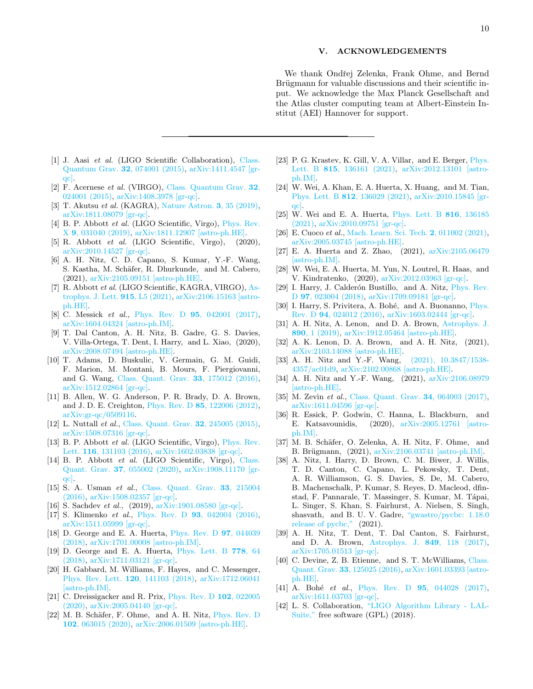# V. ACKNOWLEDGEMENTS

We thank Ondřej Zelenka, Frank Ohme, and Bernd Brügmann for valuable discussions and their scientific input. We acknowledge the Max Planck Gesellschaft and the Atlas cluster computing team at Albert-Einstein Institut (AEI) Hannover for support.

- <span id="page-9-0"></span>[1] J. Aasi et al. (LIGO Scientific Collaboration), [Class.](http://dx.doi.org/10.1088/0264-9381/32/7/074001) [Quantum Grav.](http://dx.doi.org/10.1088/0264-9381/32/7/074001) 32, 074001 (2015), [arXiv:1411.4547 \[gr](http://arxiv.org/abs/1411.4547)[qc\].](http://arxiv.org/abs/1411.4547)
- <span id="page-9-1"></span>[2] F. Acernese et al. (VIRGO), [Class. Quantum Grav.](http://dx.doi.org/10.1088/0264-9381/32/2/024001) 32, [024001 \(2015\),](http://dx.doi.org/10.1088/0264-9381/32/2/024001) [arXiv:1408.3978 \[gr-qc\].](http://arxiv.org/abs/1408.3978)
- <span id="page-9-2"></span>[3] T. Akutsu et al. (KAGRA), [Nature Astron.](http://dx.doi.org/10.1038/s41550-018-0658-y) 3, 35 (2019), [arXiv:1811.08079 \[gr-qc\].](http://arxiv.org/abs/1811.08079)
- <span id="page-9-3"></span>[4] B. P. Abbott et al. (LIGO Scientific, Virgo), [Phys. Rev.](http://dx.doi.org/10.1103/PhysRevX.9.031040) X 9[, 031040 \(2019\),](http://dx.doi.org/10.1103/PhysRevX.9.031040) [arXiv:1811.12907 \[astro-ph.HE\].](http://arxiv.org/abs/1811.12907)
- <span id="page-9-5"></span>[5] R. Abbott et al. (LIGO Scientific, Virgo), (2020), [arXiv:2010.14527 \[gr-qc\].](http://arxiv.org/abs/2010.14527)
- [6] A. H. Nitz, C. D. Capano, S. Kumar, Y.-F. Wang, S. Kastha, M. Schäfer, R. Dhurkunde, and M. Cabero, (2021), [arXiv:2105.09151 \[astro-ph.HE\].](http://arxiv.org/abs/2105.09151)
- <span id="page-9-4"></span>[7] R. Abbott et al. (LIGO Scientific, KAGRA, VIRGO), [As](http://dx.doi.org/10.3847/2041-8213/ac082e)[trophys. J. Lett.](http://dx.doi.org/10.3847/2041-8213/ac082e) 915, L5 (2021), [arXiv:2106.15163 \[astro](http://arxiv.org/abs/2106.15163)[ph.HE\].](http://arxiv.org/abs/2106.15163)
- <span id="page-9-6"></span>[8] C. Messick *et al.*, Phys. Rev. D **95**[, 042001 \(2017\),](http://dx.doi.org/10.1103/PhysRevD.95.042001) [arXiv:1604.04324 \[astro-ph.IM\].](http://arxiv.org/abs/1604.04324)
- [9] T. Dal Canton, A. H. Nitz, B. Gadre, G. S. Davies, V. Villa-Ortega, T. Dent, I. Harry, and L. Xiao, (2020), [arXiv:2008.07494 \[astro-ph.HE\].](http://arxiv.org/abs/2008.07494)
- <span id="page-9-7"></span>[10] T. Adams, D. Buskulic, V. Germain, G. M. Guidi, F. Marion, M. Montani, B. Mours, F. Piergiovanni, and G. Wang, [Class. Quant. Grav.](http://dx.doi.org/10.1088/0264-9381/33/17/175012) 33, 175012 (2016), [arXiv:1512.02864 \[gr-qc\].](http://arxiv.org/abs/1512.02864)
- <span id="page-9-8"></span>[11] B. Allen, W. G. Anderson, P. R. Brady, D. A. Brown, and J. D. E. Creighton, Phys. Rev. D 85[, 122006 \(2012\),](http://dx.doi.org/10.1103/PhysRevD.85.122006) [arXiv:gr-qc/0509116.](http://arxiv.org/abs/gr-qc/0509116)
- <span id="page-9-9"></span>[12] L. Nuttall et al., [Class. Quant. Grav.](http://dx.doi.org/10.1088/0264-9381/32/24/245005) 32, 245005 (2015), [arXiv:1508.07316 \[gr-qc\].](http://arxiv.org/abs/1508.07316)
- [13] B. P. Abbott *et al.* (LIGO Scientific, Virgo), *[Phys. Rev.](http://dx.doi.org/10.1103/PhysRevLett.116.131103)* Lett. 116[, 131103 \(2016\),](http://dx.doi.org/10.1103/PhysRevLett.116.131103) [arXiv:1602.03838 \[gr-qc\].](http://arxiv.org/abs/1602.03838)
- <span id="page-9-10"></span>[14] B. P. Abbott *et al.* (LIGO Scientific, Virgo), [Class.](http://dx.doi.org/10.1088/1361-6382/ab685e) Quant. Grav. 37[, 055002 \(2020\),](http://dx.doi.org/10.1088/1361-6382/ab685e) [arXiv:1908.11170 \[gr](http://arxiv.org/abs/1908.11170)[qc\].](http://arxiv.org/abs/1908.11170)
- <span id="page-9-11"></span>[15] S. A. Usman et al., [Class. Quant. Grav.](http://dx.doi.org/10.1088/0264-9381/33/21/215004) 33, 215004 [\(2016\),](http://dx.doi.org/10.1088/0264-9381/33/21/215004) [arXiv:1508.02357 \[gr-qc\].](http://arxiv.org/abs/1508.02357)
- <span id="page-9-12"></span>[16] S. Sachdev et al., (2019), [arXiv:1901.08580 \[gr-qc\].](http://arxiv.org/abs/1901.08580)
- <span id="page-9-13"></span>[17] S. Klimenko et al., Phys. Rev. D 93[, 042004 \(2016\),](http://dx.doi.org/10.1103/PhysRevD.93.042004) [arXiv:1511.05999 \[gr-qc\].](http://arxiv.org/abs/1511.05999)
- <span id="page-9-14"></span>[18] D. George and E. A. Huerta, [Phys. Rev. D](http://dx.doi.org/10.1103/PhysRevD.97.044039) 97, 044039 [\(2018\),](http://dx.doi.org/10.1103/PhysRevD.97.044039) [arXiv:1701.00008 \[astro-ph.IM\].](http://arxiv.org/abs/1701.00008)
- [19] D. George and E. A. Huerta, [Phys. Lett. B](http://dx.doi.org/10.1016/j.physletb.2017.12.053) 778, 64 [\(2018\),](http://dx.doi.org/10.1016/j.physletb.2017.12.053) [arXiv:1711.03121 \[gr-qc\].](http://arxiv.org/abs/1711.03121)
- <span id="page-9-30"></span>[20] H. Gabbard, M. Williams, F. Hayes, and C. Messenger, [Phys. Rev. Lett.](http://dx.doi.org/ 10.1103/PhysRevLett.120.141103) 120, 141103 (2018), [arXiv:1712.06041](http://arxiv.org/abs/1712.06041) [\[astro-ph.IM\].](http://arxiv.org/abs/1712.06041)
- [21] C. Dreissigacker and R. Prix, [Phys. Rev. D](http://dx.doi.org/10.1103/PhysRevD.102.022005) 102, 022005 [\(2020\),](http://dx.doi.org/10.1103/PhysRevD.102.022005) [arXiv:2005.04140 \[gr-qc\].](http://arxiv.org/abs/2005.04140)
- [22] M. B. Schäfer, F. Ohme, and A. H. Nitz, [Phys. Rev. D](http://dx.doi.org/10.1103/PhysRevD.102.063015) 102[, 063015 \(2020\),](http://dx.doi.org/10.1103/PhysRevD.102.063015) [arXiv:2006.01509 \[astro-ph.HE\].](http://arxiv.org/abs/2006.01509)
- [23] P. G. Krastev, K. Gill, V. A. Villar, and E. Berger, *[Phys.](http://dx.doi.org/10.1016/j.physletb.2021.136161)* Lett. B 815[, 136161 \(2021\),](http://dx.doi.org/10.1016/j.physletb.2021.136161) [arXiv:2012.13101 \[astro](http://arxiv.org/abs/2012.13101)[ph.IM\].](http://arxiv.org/abs/2012.13101)
- <span id="page-9-16"></span>[24] W. Wei, A. Khan, E. A. Huerta, X. Huang, and M. Tian, Phys. Lett. B 812[, 136029 \(2021\),](http://dx.doi.org/ 10.1016/j.physletb.2020.136029) [arXiv:2010.15845 \[gr](http://arxiv.org/abs/2010.15845)[qc\].](http://arxiv.org/abs/2010.15845)
- <span id="page-9-24"></span>[25] W. Wei and E. A. Huerta, [Phys. Lett. B](http://dx.doi.org/10.1016/j.physletb.2021.136185) 816, 136185 [\(2021\),](http://dx.doi.org/10.1016/j.physletb.2021.136185) [arXiv:2010.09751 \[gr-qc\].](http://arxiv.org/abs/2010.09751)
- [26] E. Cuoco et al., [Mach. Learn. Sci. Tech.](http://dx.doi.org/10.1088/2632-2153/abb93a) 2, 011002 (2021), [arXiv:2005.03745 \[astro-ph.HE\].](http://arxiv.org/abs/2005.03745)
- <span id="page-9-15"></span>[27] E. A. Huerta and Z. Zhao, (2021), [arXiv:2105.06479](http://arxiv.org/abs/2105.06479) [\[astro-ph.IM\].](http://arxiv.org/abs/2105.06479)
- <span id="page-9-17"></span>[28] W. Wei, E. A. Huerta, M. Yun, N. Loutrel, R. Haas, and V. Kindratenko, (2020), [arXiv:2012.03963 \[gr-qc\].](http://arxiv.org/abs/2012.03963)
- <span id="page-9-18"></span>[29] I. Harry, J. Calderón Bustillo, and A. Nitz, *[Phys. Rev.](http://dx.doi.org/10.1103/PhysRevD.97.023004)* D 97[, 023004 \(2018\),](http://dx.doi.org/10.1103/PhysRevD.97.023004) [arXiv:1709.09181 \[gr-qc\].](http://arxiv.org/abs/1709.09181)
- <span id="page-9-19"></span>[30] I. Harry, S. Privitera, A. Bohé, and A. Buonanno, [Phys.](http://dx.doi.org/ 10.1103/PhysRevD.94.024012) Rev. D 94[, 024012 \(2016\),](http://dx.doi.org/ 10.1103/PhysRevD.94.024012) [arXiv:1603.02444 \[gr-qc\].](http://arxiv.org/abs/1603.02444)
- <span id="page-9-20"></span>[31] A. H. Nitz, A. Lenon, and D. A. Brown, [Astrophys. J.](http://dx.doi.org/10.3847/1538-4357/ab6611) 890[, 1 \(2019\),](http://dx.doi.org/10.3847/1538-4357/ab6611) [arXiv:1912.05464 \[astro-ph.HE\].](http://arxiv.org/abs/1912.05464)
- <span id="page-9-21"></span>[32] A. K. Lenon, D. A. Brown, and A. H. Nitz, (2021), [arXiv:2103.14088 \[astro-ph.HE\].](http://arxiv.org/abs/2103.14088)
- <span id="page-9-22"></span>[33] A. H. Nitz and Y.-F. Wang, [\(2021\), 10.3847/1538-](http://dx.doi.org/10.3847/1538-4357/ac01d9) [4357/ac01d9,](http://dx.doi.org/10.3847/1538-4357/ac01d9) [arXiv:2102.00868 \[astro-ph.HE\].](http://arxiv.org/abs/2102.00868)
- <span id="page-9-23"></span>[34] A. H. Nitz and Y.-F. Wang, (2021),  $arXiv:2106.08979$ [\[astro-ph.HE\].](http://arxiv.org/abs/2106.08979)
- <span id="page-9-25"></span>[35] M. Zevin et al., [Class. Quant. Grav.](http://dx.doi.org/10.1088/1361-6382/aa5cea) 34, 064003 (2017), [arXiv:1611.04596 \[gr-qc\].](http://arxiv.org/abs/1611.04596)
- <span id="page-9-26"></span>[36] R. Essick, P. Godwin, C. Hanna, L. Blackburn, and E. Katsavounidis, (2020), [arXiv:2005.12761 \[astro](http://arxiv.org/abs/2005.12761)[ph.IM\].](http://arxiv.org/abs/2005.12761)
- <span id="page-9-27"></span>[37] M. B. Schäfer, O. Zelenka, A. H. Nitz, F. Ohme, and B. Brügmann, (2021), [arXiv:2106.03741 \[astro-ph.IM\].](http://arxiv.org/abs/2106.03741)
- <span id="page-9-28"></span>[38] A. Nitz, I. Harry, D. Brown, C. M. Biwer, J. Willis, T. D. Canton, C. Capano, L. Pekowsky, T. Dent, A. R. Williamson, G. S. Davies, S. De, M. Cabero, B. Machenschalk, P. Kumar, S. Reyes, D. Macleod, dfinstad, F. Pannarale, T. Massinger, S. Kumar, M. Tápai, L. Singer, S. Khan, S. Fairhurst, A. Nielsen, S. Singh, shasvath, and B. U. V. Gadre, ["gwastro/pycbc: 1.18.0](http://dx.doi.org/10.5281/zenodo.4556907) [release of pycbc,"](http://dx.doi.org/10.5281/zenodo.4556907) (2021).
- <span id="page-9-29"></span>[39] A. H. Nitz, T. Dent, T. Dal Canton, S. Fairhurst, and D. A. Brown, [Astrophys. J.](http://dx.doi.org/ 10.3847/1538-4357/aa8f50) 849, 118 (2017), [arXiv:1705.01513 \[gr-qc\].](http://arxiv.org/abs/1705.01513)
- <span id="page-9-31"></span>[40] C. Devine, Z. B. Etienne, and S. T. McWilliams, [Class.](http://dx.doi.org/10.1088/0264-9381/33/12/125025) Quant. Grav. 33[, 125025 \(2016\),](http://dx.doi.org/10.1088/0264-9381/33/12/125025) [arXiv:1601.03393 \[astro](http://arxiv.org/abs/1601.03393)[ph.HE\].](http://arxiv.org/abs/1601.03393)
- <span id="page-9-32"></span>[41] A. Bohé et al., Phys. Rev. D 95[, 044028 \(2017\),](http://dx.doi.org/10.1103/PhysRevD.95.044028) [arXiv:1611.03703 \[gr-qc\].](http://arxiv.org/abs/1611.03703)
- <span id="page-9-33"></span>[42] L. S. Collaboration, ["LIGO Algorithm Library - LAL-](http://dx.doi.org/10.7935/GT1W-FZ16)[Suite,"](http://dx.doi.org/10.7935/GT1W-FZ16) free software (GPL) (2018).